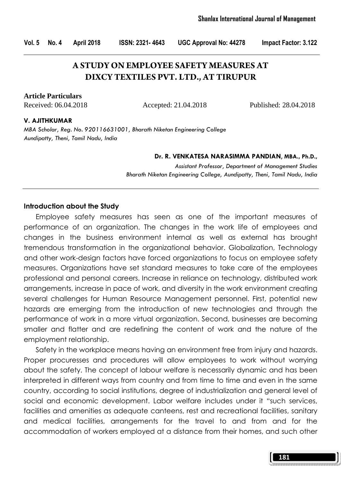# **A STUDY ON EMPLOYEE SAFETY MEASURES AT DIXCY TEXTILES PVT. LTD., AT TIRUPUR**

**Article Particulars**

Received: 06.04.2018 Accepted: 21.04.2018 Published: 28.04.2018

#### V. AJITHKUMAR

MBA Scholar, Reg. No. 920116631001, Bharath Niketan Engineering College Aundipatty, Theni, Tamil Nadu, India

#### Dr. R. VENKATESA NARASIMMA PANDIAN, MBA., Ph.D.,

Assistant Professor, Department of Management Studies Bharath Niketan Engineering College, Aundipatty, Theni, Tamil Nadu, India

#### Introduction about the Study

 Employee safety measures has seen as one of the important measures of performance of an organization. The changes in the work life of employees and changes in the business environment internal as well as external has brought tremendous transformation in the organizational behavior. Globalization, Technology and other work-design factors have forced organizations to focus on employee safety measures. Organizations have set standard measures to take care of the employees professional and personal careers. Increase in reliance on technology, distributed work arrangements, increase in pace of work, and diversity in the work environment creating several challenges for Human Resource Management personnel. First, potential new hazards are emerging from the introduction of new technologies and through the performance of work in a more virtual organization. Second, businesses are becoming smaller and flatter and are redefining the content of work and the nature of the employment relationship.

 Safety in the workplace means having an environment free from injury and hazards. Proper procuresses and procedures will allow employees to work without worrying about the safety. The concept of labour welfare is necessarily dynamic and has been interpreted in different ways from country and from time to time and even in the same country, according to social institutions, degree of industrialization and general level of social and economic development. Labor welfare includes under it "such services, facilities and amenities as adequate canteens, rest and recreational facilities, sanitary and medical facilities, arrangements for the travel to and from and for the accommodation of workers employed at a distance from their homes, and such other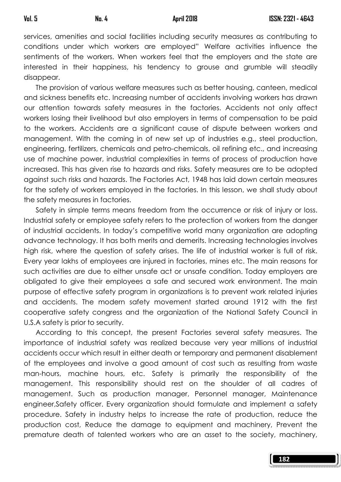services, amenities and social facilities including security measures as contributing to conditions under which workers are employed" Welfare activities influence the sentiments of the workers. When workers feel that the employers and the state are interested in their happiness, his tendency to grouse and grumble will steadily disappear.

 The provision of various welfare measures such as better housing, canteen, medical and sickness benefits etc. Increasing number of accidents involving workers has drawn our attention towards safety measures in the factories. Accidents not only affect workers losing their livelihood but also employers in terms of compensation to be paid to the workers. Accidents are a significant cause of dispute between workers and management. With the coming in of new set up of industries e.g., steel production, engineering, fertilizers, chemicals and petro-chemicals, oil refining etc., and increasing use of machine power, industrial complexities in terms of process of production have increased. This has given rise to hazards and risks. Safety measures are to be adopted against such risks and hazards. The Factories Act, 1948 has laid down certain measures for the safety of workers employed in the factories. In this lesson, we shall study about the safety measures in factories.

 Safety in simple terms means freedom from the occurrence or risk of injury or loss. Industrial safety or employee safety refers to the protection of workers from the danger of industrial accidents. In today's competitive world many organization are adopting advance technology. It has both merits and demerits. Increasing technologies involves high risk, where the question of safety arises. The life of industrial worker is full of risk. Every year lakhs of employees are injured in factories, mines etc. The main reasons for such activities are due to either unsafe act or unsafe condition. Today employers are obligated to give their employees a safe and secured work environment. The main purpose of effective safety program in organizations is to prevent work related injuries and accidents. The modern safety movement started around 1912 with the first cooperative safety congress and the organization of the National Safety Council in U.S.A safety is prior to security.

 According to this concept, the present Factories several safety measures. The importance of industrial safety was realized because very year millions of industrial accidents occur which result in either death or temporary and permanent disablement of the employees and involve a good amount of cost such as resulting from waste man-hours, machine hours, etc. Safety is primarily the responsibility of the management. This responsibility should rest on the shoulder of all cadres of management. Such as production manager, Personnel manager, Maintenance engineer,Safety officer. Every organization should formulate and implement a safety procedure. Safety in industry helps to increase the rate of production, reduce the production cost, Reduce the damage to equipment and machinery, Prevent the premature death of talented workers who are an asset to the society, machinery,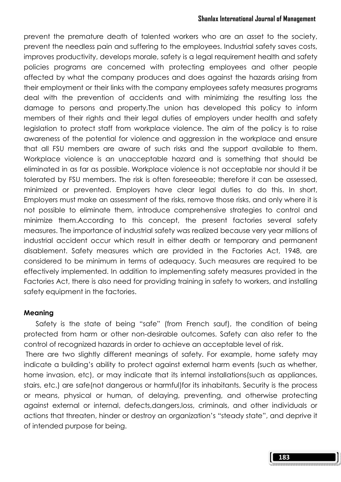### Shanlax International Journal of Management

prevent the premature death of talented workers who are an asset to the society, prevent the needless pain and suffering to the employees. Industrial safety saves costs, improves productivity, develops morale, safety is a legal requirement health and safety policies programs are concerned with protecting employees and other people affected by what the company produces and does against the hazards arising from their employment or their links with the company employees safety measures programs deal with the prevention of accidents and with minimizing the resulting loss the damage to persons and property.The union has developed this policy to inform members of their rights and their legal duties of employers under health and safety legislation to protect staff from workplace violence. The aim of the policy is to raise awareness of the potential for violence and aggression in the workplace and ensure that all FSU members are aware of such risks and the support available to them. Workplace violence is an unacceptable hazard and is something that should be eliminated in as far as possible. Workplace violence is not acceptable nor should it be tolerated by FSU members. The risk is often foreseeable; therefore it can be assessed, minimized or prevented. Employers have clear legal duties to do this. In short, Employers must make an assessment of the risks, remove those risks, and only where it is not possible to eliminate them, introduce comprehensive strategies to control and minimize them.According to this concept, the present factories several safety measures. The importance of industrial safety was realized because very year millions of industrial accident occur which result in either death or temporary and permanent disablement. Safety measures which are provided in the Factories Act, 1948, are considered to be minimum in terms of adequacy. Such measures are required to be effectively implemented. In addition to implementing safety measures provided in the Factories Act, there is also need for providing training in safety to workers, and installing safety equipment in the factories.

#### Meaning

 Safety is the state of being "safe" (from French sauf), the condition of being protected from harm or other non-desirable outcomes. Safety can also refer to the control of recognized hazards in order to achieve an acceptable level of risk.

 There are two slightly different meanings of safety. For example, home safety may indicate a building's ability to protect against external harm events (such as whether, home invasion, etc), or may indicate that its internal installations(such as appliances, stairs, etc.) are safe(not dangerous or harmful)for its inhabitants. Security is the process or means, physical or human, of delaying, preventing, and otherwise protecting against external or internal, defects,dangers,loss, criminals, and other individuals or actions that threaten, hinder or destroy an organization's "steady state", and deprive it of intended purpose for being.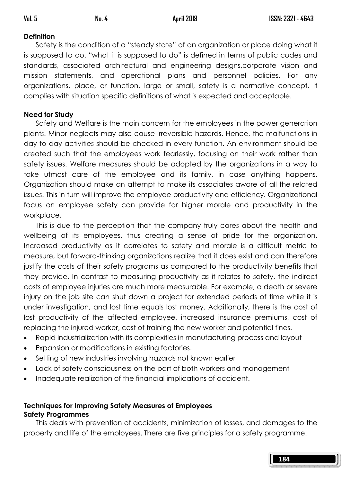# **Definition**

 Safety is the condition of a "steady state" of an organization or place doing what it is supposed to do. "what it is supposed to do" is defined in terms of public codes and standards, associated architectural and engineering designs,corporate vision and mission statements, and operational plans and personnel policies. For any organizations, place, or function, large or small, safety is a normative concept. It complies with situation specific definitions of what is expected and acceptable.

# Need for Study

 Safety and Welfare is the main concern for the employees in the power generation plants. Minor neglects may also cause irreversible hazards. Hence, the malfunctions in day to day activities should be checked in every function. An environment should be created such that the employees work fearlessly, focusing on their work rather than safety issues. Welfare measures should be adopted by the organizations in a way to take utmost care of the employee and its family, in case anything happens. Organization should make an attempt to make its associates aware of all the related issues. This in turn will improve the employee productivity and efficiency. Organizational focus on employee safety can provide for higher morale and productivity in the workplace.

 This is due to the perception that the company truly cares about the health and wellbeing of its employees, thus creating a sense of pride for the organization. Increased productivity as it correlates to safety and morale is a difficult metric to measure, but forward-thinking organizations realize that it does exist and can therefore justify the costs of their safety programs as compared to the productivity benefits that they provide. In contrast to measuring productivity as it relates to safety, the indirect costs of employee injuries are much more measurable. For example, a death or severe injury on the job site can shut down a project for extended periods of time while it is under investigation, and lost time equals lost money. Additionally, there is the cost of lost productivity of the affected employee, increased insurance premiums, cost of replacing the injured worker, cost of training the new worker and potential fines.

- Rapid industrialization with its complexities in manufacturing process and layout
- Expansion or modifications in existing factories.
- Setting of new industries involving hazards not known earlier
- Lack of safety consciousness on the part of both workers and management
- Inadequate realization of the financial implications of accident.

# Techniques for Improving Safety Measures of Employees Safety Programmes

 This deals with prevention of accidents, minimization of losses, and damages to the property and life of the employees. There are five principles for a safety programme.

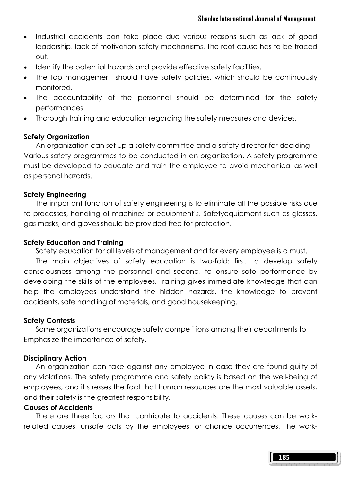- Industrial accidents can take place due various reasons such as lack of good leadership, lack of motivation safety mechanisms. The root cause has to be traced out.
- Identify the potential hazards and provide effective safety facilities.
- The top management should have safety policies, which should be continuously monitored.
- The accountability of the personnel should be determined for the safety performances.
- Thorough training and education regarding the safety measures and devices.

### Safety Organization

 An organization can set up a safety committee and a safety director for deciding Various safety programmes to be conducted in an organization. A safety programme must be developed to educate and train the employee to avoid mechanical as well as personal hazards.

### Safety Engineering

 The important function of safety engineering is to eliminate all the possible risks due to processes, handling of machines or equipment's. Safetyequipment such as glasses, gas masks, and gloves should be provided free for protection.

### Safety Education and Training

Safety education for all levels of management and for every employee is a must.

 The main objectives of safety education is two-fold: first, to develop safety consciousness among the personnel and second, to ensure safe performance by developing the skills of the employees. Training gives immediate knowledge that can help the employees understand the hidden hazards, the knowledge to prevent accidents, safe handling of materials, and good housekeeping.

### Safety Contests

 Some organizations encourage safety competitions among their departments to Emphasize the importance of safety.

### Disciplinary Action

 An organization can take against any employee in case they are found guilty of any violations. The safety programme and safety policy is based on the well-being of employees, and it stresses the fact that human resources are the most valuable assets, and their safety is the greatest responsibility.

### Causes of Accidents

 There are three factors that contribute to accidents. These causes can be workrelated causes, unsafe acts by the employees, or chance occurrences. The work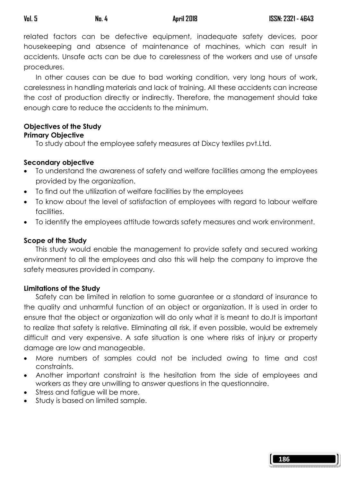related factors can be defective equipment, inadequate safety devices, poor housekeeping and absence of maintenance of machines, which can result in accidents. Unsafe acts can be due to carelessness of the workers and use of unsafe procedures.

 In other causes can be due to bad working condition, very long hours of work, carelessness in handling materials and lack of training. All these accidents can increase the cost of production directly or indirectly. Therefore, the management should take enough care to reduce the accidents to the minimum.

### Objectives of the Study Primary Objective

To study about the employee safety measures at Dixcy textiles pvt.Ltd.

# Secondary objective

- To understand the awareness of safety and welfare facilities among the employees provided by the organization.
- To find out the utilization of welfare facilities by the employees
- To know about the level of satisfaction of employees with regard to labour welfare facilities.
- To identify the employees attitude towards safety measures and work environment.

# Scope of the Study

 This study would enable the management to provide safety and secured working environment to all the employees and also this will help the company to improve the safety measures provided in company.

# Limitations of the Study

 Safety can be limited in relation to some guarantee or a standard of insurance to the quality and unharmful function of an object or organization. It is used in order to ensure that the object or organization will do only what it is meant to do.It is important to realize that safety is relative. Eliminating all risk, if even possible, would be extremely difficult and very expensive. A safe situation is one where risks of injury or property damage are low and manageable.

- More numbers of samples could not be included owing to time and cost constraints.
- Another important constraint is the hesitation from the side of employees and workers as they are unwilling to answer questions in the questionnaire.
- Stress and fatigue will be more.
- Study is based on limited sample.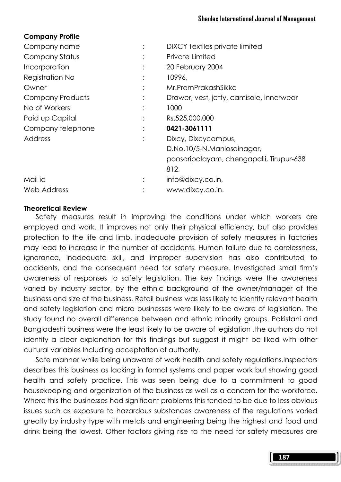### Company Profile

| Company name      | <b>DIXCY Textiles private limited</b>    |
|-------------------|------------------------------------------|
| Company Status    | Private Limited                          |
| Incorporation     | 20 February 2004                         |
| Registration No   | 10996,                                   |
| Owner             | Mr.PremPrakashSikka                      |
| Company Products  | Drawer, vest, jetty, camisole, innerwear |
| No of Workers     | 1000                                     |
| Paid up Capital   | Rs.525,000,000                           |
| Company telephone | 0421-3061111                             |
| Address           | Dixcy, Dixcycampus,                      |
|                   | D.No.10/5-N.Maniosainagar,               |
|                   | poosaripalayam, chengapalli, Tirupur-638 |
|                   | 812,                                     |
| Mail id           | info@dixcy.co.in,                        |
| Web Address       | www.dixcy.co.in.                         |
|                   |                                          |

### Theoretical Review

 Safety measures result in improving the conditions under which workers are employed and work. It improves not only their physical efficiency, but also provides protection to the life and limb. inadequate provision of safety measures in factories may lead to increase in the number of accidents. Human failure due to carelessness, ignorance, inadequate skill, and improper supervision has also contributed to accidents, and the consequent need for safety measure. Investigated small firm's awareness of responses to safety legislation. The key findings were the awareness varied by industry sector, by the ethnic background of the owner/manager of the business and size of the business. Retail business was less likely to identify relevant health and safety legislation and micro businesses were likely to be aware of legislation. The study found no overall difference between and ethnic minority groups. Pakistani and Bangladeshi business were the least likely to be aware of legislation .the authors do not identify a clear explanation for this findings but suggest it might be liked with other cultural variables Including acceptation of authority.

 Safe manner while being unaware of work health and safety regulations.Inspectors describes this business as lacking in formal systems and paper work but showing good health and safety practice. This was seen being due to a commitment to good housekeeping and organization of the business as well as a concern for the workforce. Where this the businesses had significant problems this tended to be due to less obvious issues such as exposure to hazardous substances awareness of the regulations varied greatly by industry type with metals and engineering being the highest and food and drink being the lowest. Other factors giving rise to the need for safety measures are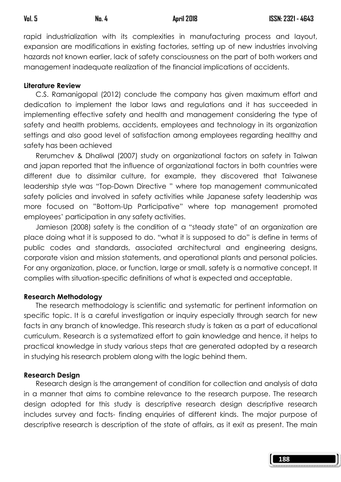rapid industrialization with its complexities in manufacturing process and layout, expansion are modifications in existing factories, setting up of new industries involving hazards not known earlier, lack of safety consciousness on the part of both workers and management inadequate realization of the financial implications of accidents.

### Literature Review

 C.S. Ramanigopal (2012) conclude the company has given maximum effort and dedication to implement the labor laws and regulations and it has succeeded in implementing effective safety and health and management considering the type of safety and health problems, accidents, employees and technology in its organization settings and also good level of satisfaction among employees regarding healthy and safety has been achieved

 Rerumchev & Dhaliwal (2007) study on organizational factors on safety in Taiwan and japan reported that the influence of organizational factors in both countries were different due to dissimilar culture, for example, they discovered that Taiwanese leadership style was "Top-Down Directive " where top management communicated safety policies and involved in safety activities while Japanese safety leadership was more focused on "Bottom-Up Participative" where top management promoted employees' participation in any safety activities.

 Jamieson (2008) safety is the condition of a "steady state" of an organization are place doing what it is supposed to do. "what it is supposed to do" is define in terms of public codes and standards, associated architectural and engineering designs, corporate vision and mission statements, and operational plants and personal policies. For any organization, place, or function, large or small, safety is a normative concept. It complies with situation-specific definitions of what is expected and acceptable.

#### Research Methodology

 The research methodology is scientific and systematic for pertinent information on specific topic. It is a careful investigation or inquiry especially through search for new facts in any branch of knowledge. This research study is taken as a part of educational curriculum. Research is a systematized effort to gain knowledge and hence, it helps to practical knowledge in study various steps that are generated adopted by a research in studying his research problem along with the logic behind them.

### Research Design

 Research design is the arrangement of condition for collection and analysis of data in a manner that aims to combine relevance to the research purpose. The research design adopted for this study is descriptive research design descriptive research includes survey and facts- finding enquiries of different kinds. The major purpose of descriptive research is description of the state of affairs, as it exit as present. The main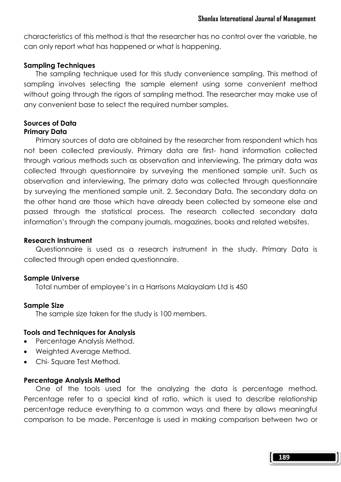characteristics of this method is that the researcher has no control over the variable, he can only report what has happened or what is happening.

#### Sampling Techniques

 The sampling technique used for this study convenience sampling. This method of sampling involves selecting the sample element using some convenient method without going through the rigors of sampling method. The researcher may make use of any convenient base to select the required number samples.

#### Sources of Data Primary Data

 Primary sources of data are obtained by the researcher from respondent which has not been collected previously. Primary data are first- hand information collected through various methods such as observation and interviewing. The primary data was collected through questionnaire by surveying the mentioned sample unit. Such as observation and interviewing. The primary data was collected through questionnaire by surveying the mentioned sample unit. 2. Secondary Data. The secondary data on the other hand are those which have already been collected by someone else and passed through the statistical process. The research collected secondary data information's through the company journals, magazines, books and related websites.

#### Research Instrument

 Questionnaire is used as a research instrument in the study. Primary Data is collected through open ended questionnaire.

#### Sample Universe

Total number of employee's in a Harrisons Malayalam Ltd is 450

#### Sample Size

The sample size taken for the study is 100 members.

#### Tools and Techniques for Analysis

- Percentage Analysis Method.
- Weighted Average Method.
- Chi- Square Test Method.

#### Percentage Analysis Method

 One of the tools used for the analyzing the data is percentage method. Percentage refer to a special kind of ratio, which is used to describe relationship percentage reduce everything to a common ways and there by allows meaningful comparison to be made. Percentage is used in making comparison between two or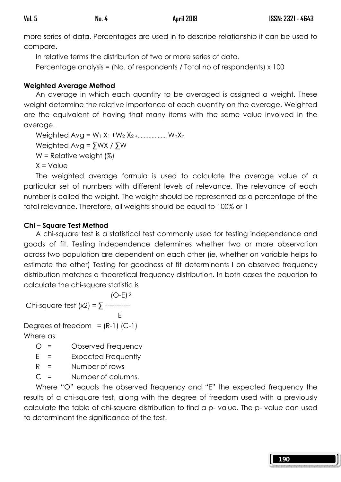more series of data. Percentages are used in to describe relationship it can be used to compare.

In relative terms the distribution of two or more series of data.

Percentage analysis = (No. of respondents / Total no of respondents) x 100

# Weighted Average Method

 An average in which each quantity to be averaged is assigned a weight. These weight determine the relative importance of each quantity on the average. Weighted are the equivalent of having that many items with the same value involved in the average.

Weighted  $Avg = W_1 X_1 + W_2 X_2 + \dots + W_n X_n$  Weighted Avg = ∑WX / ∑W  $W =$  Relative weight  $(\%)$ 

 $X = Value$ 

 The weighted average formula is used to calculate the average value of a particular set of numbers with different levels of relevance. The relevance of each number is called the weight. The weight should be represented as a percentage of the total relevance. Therefore, all weights should be equal to 100% or 1

## Chi – Square Test Method

 A chi-square test is a statistical test commonly used for testing independence and goods of fit. Testing independence determines whether two or more observation across two population are dependent on each other (ie, whether on variable helps to estimate the other) Testing for goodness of fit determinants I on observed frequency distribution matches a theoretical frequency distribution. In both cases the equation to calculate the chi-square statistic is

 $(O-E)$ <sup>2</sup> Chi-square test  $(x2) = \sum$ -----------

**Experience of the Contract Contract E** Degrees of freedom =  $(R-1)$  (C-1)

Where as

- O = Observed Frequency
- E = Expected Frequently
- $R =$  Number of rows
- C = Number of columns.

 Where "O" equals the observed frequency and "E" the expected frequency the results of a chi-square test, along with the degree of freedom used with a previously calculate the table of chi-square distribution to find a p- value. The p- value can used to determinant the significance of the test.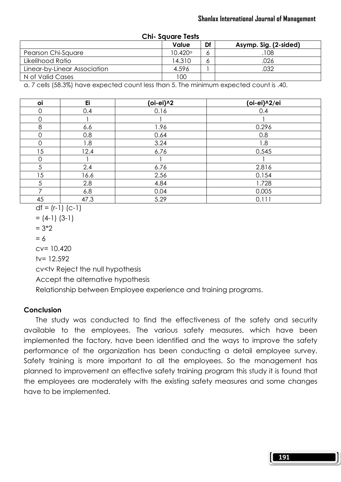| CIII- SUUUIT ITSIS           |                  |    |                       |  |  |  |
|------------------------------|------------------|----|-----------------------|--|--|--|
|                              | Value            | Df | Asymp. Sig. (2-sided) |  |  |  |
| Pearson Chi-Square           | $10.420^{\circ}$ | Ô  | 108                   |  |  |  |
| Likelihood Ratio             | 14.310           | O  | .026                  |  |  |  |
| Linear-by-Linear Association | 4.596            |    | .032                  |  |  |  |
| N of Valid Cases             | 100              |    |                       |  |  |  |

Chi- Square Tests

a. 7 cells (58.3%) have expected count less than 5. The minimum expected count is .40.

| oi | Ei   | (oi-ei)^2 | (oi-ei)^2/ei |
|----|------|-----------|--------------|
| 0  | 0.4  | 0.16      | 0.4          |
| Ω  |      |           |              |
| 8  | 6.6  | 1.96      | 0.296        |
| 0  | 0.8  | 0.64      | 0.8          |
| 0  | 1.8  | 3.24      | 1.8          |
| 15 | 12.4 | 6.76      | 0.545        |
| 0  |      |           |              |
| 5  | 2.4  | 6.76      | 2.816        |
| 15 | 16.6 | 2.56      | 0.154        |
| 5  | 2.8  | 4.84      | 1.728        |
| ⇁  | 6.8  | 0.04      | 0.005        |
| 45 | 47.3 | 5.29      | 0.111        |

$$
df = (r-1) (c-1)
$$

$$
= (4-1) (3-1)
$$

$$
= 3*2
$$

 $= 6$ 

cv= 10.420

 $tv = 12.592$ 

cv<tv Reject the null hypothesis

Accept the alternative hypothesis

Relationship between Employee experience and training programs.

### **Conclusion**

 The study was conducted to find the effectiveness of the safety and security available to the employees. The various safety measures, which have been implemented the factory, have been identified and the ways to improve the safety performance of the organization has been conducting a detail employee survey. Safety training is more important to all the employees. So the management has planned to improvement an effective safety training program this study it is found that the employees are moderately with the existing safety measures and some changes have to be implemented.